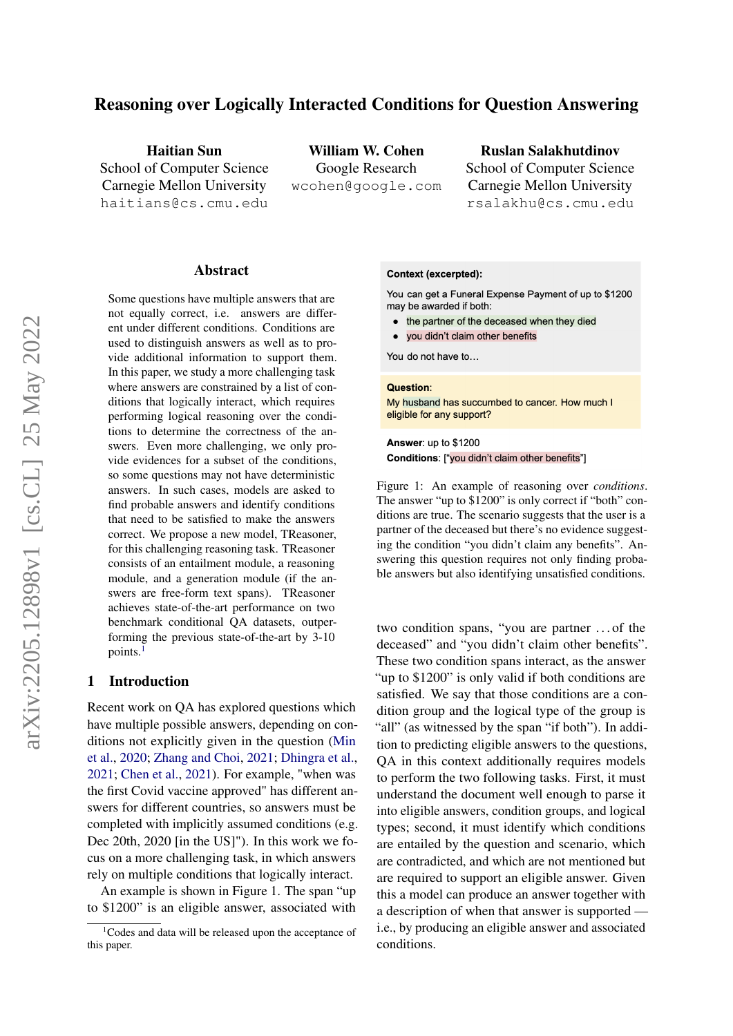# Reasoning over Logically Interacted Conditions for Question Answering

Haitian Sun School of Computer Science Carnegie Mellon University haitians@cs.cmu.edu

William W. Cohen Google Research wcohen@google.com

#### Ruslan Salakhutdinov

School of Computer Science Carnegie Mellon University rsalakhu@cs.cmu.edu

#### Abstract

Some questions have multiple answers that are not equally correct, i.e. answers are different under different conditions. Conditions are used to distinguish answers as well as to provide additional information to support them. In this paper, we study a more challenging task where answers are constrained by a list of conditions that logically interact, which requires performing logical reasoning over the conditions to determine the correctness of the answers. Even more challenging, we only provide evidences for a subset of the conditions, so some questions may not have deterministic answers. In such cases, models are asked to find probable answers and identify conditions that need to be satisfied to make the answers correct. We propose a new model, TReasoner, for this challenging reasoning task. TReasoner consists of an entailment module, a reasoning module, and a generation module (if the answers are free-form text spans). TReasoner achieves state-of-the-art performance on two benchmark conditional QA datasets, outperforming the previous state-of-the-art by 3-10 points.<sup>[1](#page-0-0)</sup>

# 1 Introduction

Recent work on QA has explored questions which have multiple possible answers, depending on conditions not explicitly given in the question [\(Min](#page-10-0) [et al.,](#page-10-0) [2020;](#page-10-0) [Zhang and Choi,](#page-10-1) [2021;](#page-10-1) [Dhingra et al.,](#page-9-0) [2021;](#page-9-0) [Chen et al.,](#page-9-1) [2021\)](#page-9-1). For example, "when was the first Covid vaccine approved" has different answers for different countries, so answers must be completed with implicitly assumed conditions (e.g. Dec 20th, 2020 [in the US]"). In this work we focus on a more challenging task, in which answers rely on multiple conditions that logically interact.

An example is shown in Figure 1. The span "up to \$1200" is an eligible answer, associated with

#### <span id="page-0-1"></span>**Context (excerpted):**

You can get a Funeral Expense Payment of up to \$1200 may be awarded if both:

- the partner of the deceased when they died
- . you didn't claim other benefits

You do not have to...

#### Question:

My husband has succumbed to cancer. How much I eligible for any support?

#### Answer: up to \$1200 Conditions: ["you didn't claim other benefits"]

Figure 1: An example of reasoning over *conditions*. The answer "up to \$1200" is only correct if "both" conditions are true. The scenario suggests that the user is a partner of the deceased but there's no evidence suggesting the condition "you didn't claim any benefits". Answering this question requires not only finding probable answers but also identifying unsatisfied conditions.

two condition spans, "you are partner . . . of the deceased" and "you didn't claim other benefits". These two condition spans interact, as the answer "up to \$1200" is only valid if both conditions are satisfied. We say that those conditions are a condition group and the logical type of the group is "all" (as witnessed by the span "if both"). In addition to predicting eligible answers to the questions, QA in this context additionally requires models to perform the two following tasks. First, it must understand the document well enough to parse it into eligible answers, condition groups, and logical types; second, it must identify which conditions are entailed by the question and scenario, which are contradicted, and which are not mentioned but are required to support an eligible answer. Given this a model can produce an answer together with a description of when that answer is supported i.e., by producing an eligible answer and associated conditions.

<span id="page-0-0"></span> $1$ Codes and data will be released upon the acceptance of this paper.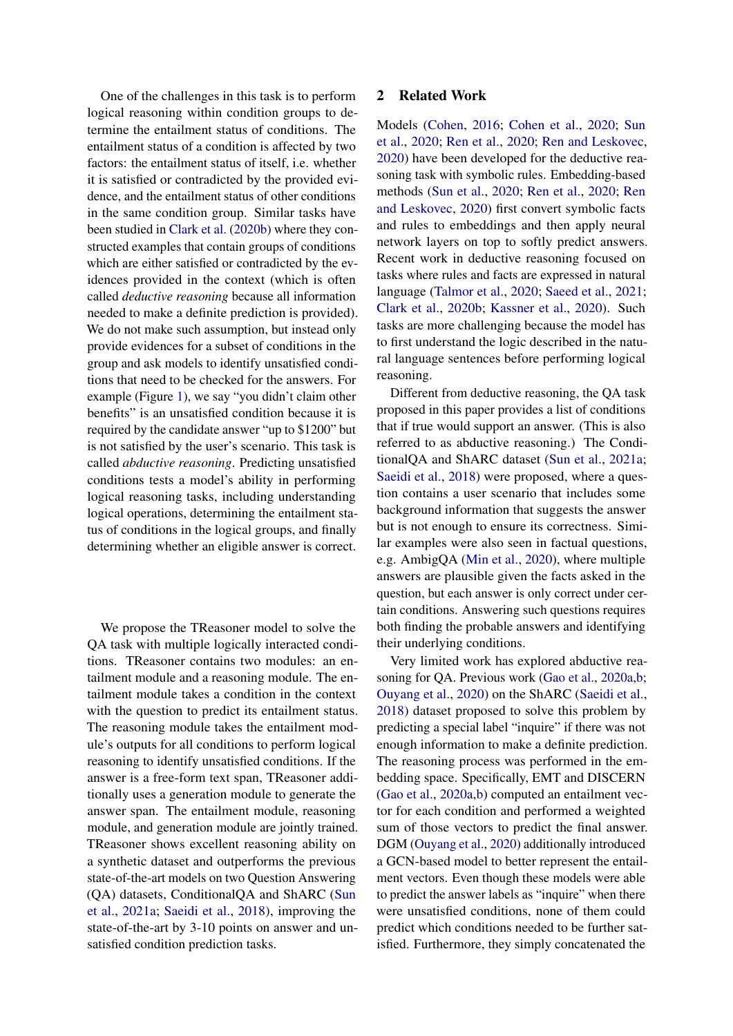One of the challenges in this task is to perform logical reasoning within condition groups to determine the entailment status of conditions. The entailment status of a condition is affected by two factors: the entailment status of itself, i.e. whether it is satisfied or contradicted by the provided evidence, and the entailment status of other conditions in the same condition group. Similar tasks have been studied in [Clark et al.](#page-9-2) [\(2020b\)](#page-9-2) where they constructed examples that contain groups of conditions which are either satisfied or contradicted by the evidences provided in the context (which is often called *deductive reasoning* because all information needed to make a definite prediction is provided). We do not make such assumption, but instead only provide evidences for a subset of conditions in the group and ask models to identify unsatisfied conditions that need to be checked for the answers. For example (Figure [1\)](#page-0-1), we say "you didn't claim other benefits" is an unsatisfied condition because it is required by the candidate answer "up to \$1200" but is not satisfied by the user's scenario. This task is called *abductive reasoning*. Predicting unsatisfied conditions tests a model's ability in performing logical reasoning tasks, including understanding logical operations, determining the entailment status of conditions in the logical groups, and finally determining whether an eligible answer is correct.

We propose the TReasoner model to solve the QA task with multiple logically interacted conditions. TReasoner contains two modules: an entailment module and a reasoning module. The entailment module takes a condition in the context with the question to predict its entailment status. The reasoning module takes the entailment module's outputs for all conditions to perform logical reasoning to identify unsatisfied conditions. If the answer is a free-form text span, TReasoner additionally uses a generation module to generate the answer span. The entailment module, reasoning module, and generation module are jointly trained. TReasoner shows excellent reasoning ability on a synthetic dataset and outperforms the previous state-of-the-art models on two Question Answering (QA) datasets, ConditionalQA and ShARC [\(Sun](#page-10-2) [et al.,](#page-10-2) [2021a;](#page-10-2) [Saeidi et al.,](#page-10-3) [2018\)](#page-10-3), improving the state-of-the-art by 3-10 points on answer and unsatisfied condition prediction tasks.

### 2 Related Work

Models [\(Cohen,](#page-9-3) [2016;](#page-9-3) [Cohen et al.,](#page-9-4) [2020;](#page-9-4) [Sun](#page-10-4) [et al.,](#page-10-4) [2020;](#page-10-4) [Ren et al.,](#page-10-5) [2020;](#page-10-5) [Ren and Leskovec,](#page-10-6) [2020\)](#page-10-6) have been developed for the deductive reasoning task with symbolic rules. Embedding-based methods [\(Sun et al.,](#page-10-4) [2020;](#page-10-4) [Ren et al.,](#page-10-5) [2020;](#page-10-5) [Ren](#page-10-6) [and Leskovec,](#page-10-6) [2020\)](#page-10-6) first convert symbolic facts and rules to embeddings and then apply neural network layers on top to softly predict answers. Recent work in deductive reasoning focused on tasks where rules and facts are expressed in natural language [\(Talmor et al.,](#page-10-7) [2020;](#page-10-7) [Saeed et al.,](#page-10-8) [2021;](#page-10-8) [Clark et al.,](#page-9-2) [2020b;](#page-9-2) [Kassner et al.,](#page-10-9) [2020\)](#page-10-9). Such tasks are more challenging because the model has to first understand the logic described in the natural language sentences before performing logical reasoning.

Different from deductive reasoning, the QA task proposed in this paper provides a list of conditions that if true would support an answer. (This is also referred to as abductive reasoning.) The ConditionalQA and ShARC dataset [\(Sun et al.,](#page-10-2) [2021a;](#page-10-2) [Saeidi et al.,](#page-10-3) [2018\)](#page-10-3) were proposed, where a question contains a user scenario that includes some background information that suggests the answer but is not enough to ensure its correctness. Similar examples were also seen in factual questions, e.g. AmbigQA [\(Min et al.,](#page-10-0) [2020\)](#page-10-0), where multiple answers are plausible given the facts asked in the question, but each answer is only correct under certain conditions. Answering such questions requires both finding the probable answers and identifying their underlying conditions.

Very limited work has explored abductive reasoning for QA. Previous work [\(Gao et al.,](#page-9-5) [2020a](#page-9-5)[,b;](#page-10-10) [Ouyang et al.,](#page-10-11) [2020\)](#page-10-11) on the ShARC [\(Saeidi et al.,](#page-10-3) [2018\)](#page-10-3) dataset proposed to solve this problem by predicting a special label "inquire" if there was not enough information to make a definite prediction. The reasoning process was performed in the embedding space. Specifically, EMT and DISCERN [\(Gao et al.,](#page-9-5) [2020a](#page-9-5)[,b\)](#page-10-10) computed an entailment vector for each condition and performed a weighted sum of those vectors to predict the final answer. DGM [\(Ouyang et al.,](#page-10-11) [2020\)](#page-10-11) additionally introduced a GCN-based model to better represent the entailment vectors. Even though these models were able to predict the answer labels as "inquire" when there were unsatisfied conditions, none of them could predict which conditions needed to be further satisfied. Furthermore, they simply concatenated the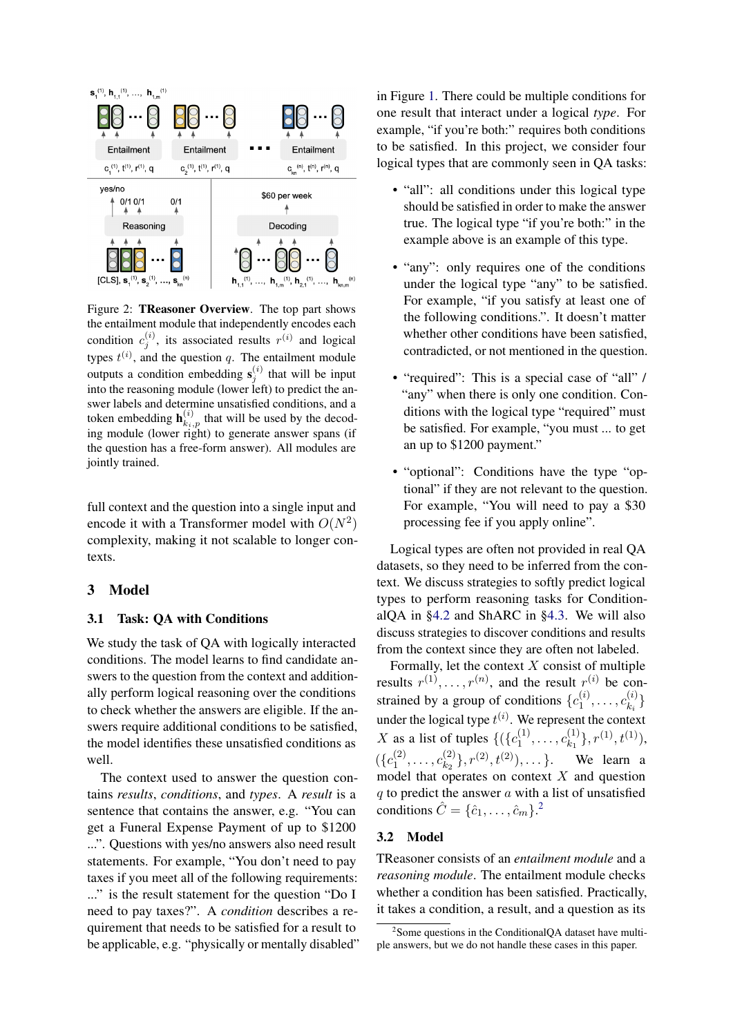

Figure 2: TReasoner Overview. The top part shows the entailment module that independently encodes each condition  $c_j^{(i)}$ , its associated results  $r^{(i)}$  and logical types  $t^{(i)}$ , and the question q. The entailment module outputs a condition embedding  $s_j^{(i)}$  that will be input into the reasoning module (lower left) to predict the answer labels and determine unsatisfied conditions, and a token embedding  $\mathbf{h}_{k_i,p}^{(i)}$  that will be used by the decoding module (lower right) to generate answer spans (if the question has a free-form answer). All modules are jointly trained.

full context and the question into a single input and encode it with a Transformer model with  $O(N^2)$ complexity, making it not scalable to longer contexts.

## 3 Model

#### <span id="page-2-1"></span>3.1 Task: QA with Conditions

We study the task of QA with logically interacted conditions. The model learns to find candidate answers to the question from the context and additionally perform logical reasoning over the conditions to check whether the answers are eligible. If the answers require additional conditions to be satisfied, the model identifies these unsatisfied conditions as well.

The context used to answer the question contains *results*, *conditions*, and *types*. A *result* is a sentence that contains the answer, e.g. "You can get a Funeral Expense Payment of up to \$1200 ...". Questions with yes/no answers also need result statements. For example, "You don't need to pay taxes if you meet all of the following requirements: ..." is the result statement for the question "Do I need to pay taxes?". A *condition* describes a requirement that needs to be satisfied for a result to be applicable, e.g. "physically or mentally disabled" in Figure [1.](#page-0-1) There could be multiple conditions for one result that interact under a logical *type*. For example, "if you're both:" requires both conditions to be satisfied. In this project, we consider four logical types that are commonly seen in QA tasks:

- "all": all conditions under this logical type should be satisfied in order to make the answer true. The logical type "if you're both:" in the example above is an example of this type.
- "any": only requires one of the conditions under the logical type "any" to be satisfied. For example, "if you satisfy at least one of the following conditions.". It doesn't matter whether other conditions have been satisfied, contradicted, or not mentioned in the question.
- "required": This is a special case of "all" / "any" when there is only one condition. Conditions with the logical type "required" must be satisfied. For example, "you must ... to get an up to \$1200 payment."
- "optional": Conditions have the type "optional" if they are not relevant to the question. For example, "You will need to pay a \$30 processing fee if you apply online".

Logical types are often not provided in real QA datasets, so they need to be inferred from the context. We discuss strategies to softly predict logical types to perform reasoning tasks for ConditionalQA in [§4.2](#page-6-0) and ShARC in [§4.3.](#page-7-0) We will also discuss strategies to discover conditions and results from the context since they are often not labeled.

Formally, let the context  $X$  consist of multiple results  $r^{(1)}, \ldots, r^{(n)}$ , and the result  $r^{(i)}$  be constrained by a group of conditions  $\{c_1^{(i)}\}$  $c^{(i)}_{1},\ldots,c^{(i)}_{k_i}$  $\{k_i^{(i)}\}$ under the logical type  $t^{(i)}$ . We represent the context X as a list of tuples  $\{(\lbrace c_1^{(1)} \rbrace)$  $c_{1}^{(1)}, \ldots, c_{k_1}^{(1)}$  $\{t^{(1)}_{k_1}\}, r^{(1)}, t^{(1)}),$  $({c_1}^{(2)}$  $c_{1}^{(2)}, \ldots, c_{k_2}^{(2)}$  $\{a^{(2)}_{k_2}\}, r^{(2)}, t^{(2)}), \ldots \}.$  We learn a model that operates on context  $X$  and question  $q$  to predict the answer  $q$  with a list of unsatisfied conditions  $\hat{C} = \{\hat{c}_1, \dots, \hat{c}_m\}^2$  $\hat{C} = \{\hat{c}_1, \dots, \hat{c}_m\}^2$ .

# 3.2 Model

TReasoner consists of an *entailment module* and a *reasoning module*. The entailment module checks whether a condition has been satisfied. Practically, it takes a condition, a result, and a question as its

<span id="page-2-0"></span><sup>&</sup>lt;sup>2</sup> Some questions in the ConditionalQA dataset have multiple answers, but we do not handle these cases in this paper.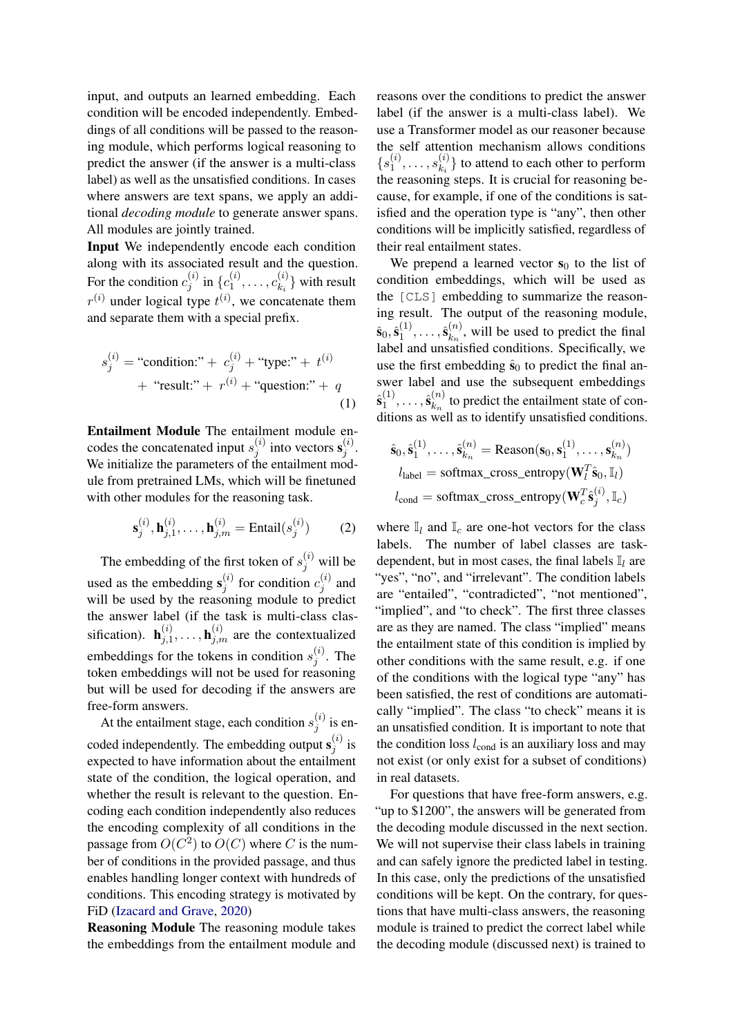input, and outputs an learned embedding. Each condition will be encoded independently. Embeddings of all conditions will be passed to the reasoning module, which performs logical reasoning to predict the answer (if the answer is a multi-class label) as well as the unsatisfied conditions. In cases where answers are text spans, we apply an additional *decoding module* to generate answer spans. All modules are jointly trained.

Input We independently encode each condition along with its associated result and the question. For the condition  $c_i^{(i)}$  $j^{(i)}$  in  $\{c_1^{(i)}\}$  $c^{(i)}_1,\ldots,c^{(i)}_{k_i}$  $\binom{v}{k_i}$  with result  $r^{(i)}$  under logical type  $t^{(i)}$ , we concatenate them and separate them with a special prefix.

<span id="page-3-1"></span>
$$
s_j^{(i)} = \text{``condition:''} + c_j^{(i)} + \text{``type:''} + t^{(i)} + \text{``result:''} + r^{(i)} + \text{``question:''} + q
$$
  
(1)

Entailment Module The entailment module encodes the concatenated input  $s_i^{(i)}$  $j^{(i)}$  into vectors  $\mathbf{s}_j^{(i)}$  $\stackrel{(i)}{j}$ . We initialize the parameters of the entailment module from pretrained LMs, which will be finetuned with other modules for the reasoning task.

$$
\mathbf{s}_{j}^{(i)}, \mathbf{h}_{j,1}^{(i)}, \dots, \mathbf{h}_{j,m}^{(i)} = \text{Entail}(s_{j}^{(i)})
$$
 (2)

The embedding of the first token of  $s_j^{(i)}$  will be used as the embedding  $s_i^{(i)}$  $j^{(i)}$  for condition  $c_j^{(i)}$  $j^{(i)}$  and will be used by the reasoning module to predict the answer label (if the task is multi-class classification).  $\mathbf{h}_{i,1}^{(i)}$  $j_1^{(i)}, \ldots, \mathbf{h}_{j,m}^{(i)}$  are the contextualized embeddings for the tokens in condition  $s_i^{(i)}$  $j^{(i)}$ . The token embeddings will not be used for reasoning but will be used for decoding if the answers are free-form answers.

At the entailment stage, each condition  $s_i^{(i)}$  $j^{(i)}$  is encoded independently. The embedding output  $s_i^{(i)}$  $j^{(i)}$  is expected to have information about the entailment state of the condition, the logical operation, and whether the result is relevant to the question. Encoding each condition independently also reduces the encoding complexity of all conditions in the passage from  $O(C^2)$  to  $O(C)$  where C is the number of conditions in the provided passage, and thus enables handling longer context with hundreds of conditions. This encoding strategy is motivated by FiD [\(Izacard and Grave,](#page-10-12) [2020\)](#page-10-12)

Reasoning Module The reasoning module takes the embeddings from the entailment module and reasons over the conditions to predict the answer label (if the answer is a multi-class label). We use a Transformer model as our reasoner because the self attention mechanism allows conditions  $\{s_1^{(i)}\}$  $s^{(i)}_1,\ldots,s^{(i)}_{k_i}$  $\binom{v}{k_i}$  to attend to each other to perform the reasoning steps. It is crucial for reasoning because, for example, if one of the conditions is satisfied and the operation type is "any", then other conditions will be implicitly satisfied, regardless of their real entailment states.

We prepend a learned vector  $s_0$  to the list of condition embeddings, which will be used as the [CLS] embedding to summarize the reasoning result. The output of the reasoning module,  $\hat{\textbf{s}}_0,\hat{\textbf{s}}_1^{(1)}$  $\hat{\mathbf{s}}^{(1)}_{k_1},\ldots,\hat{\mathbf{s}}^{(n)}_{k_n}$  $k_n^{(n)}$ , will be used to predict the final label and unsatisfied conditions. Specifically, we use the first embedding  $\hat{s}_0$  to predict the final answer label and use the subsequent embeddings  $\hat{\mathbf{s}}_1^{(1)}$  $\hat{\mathbf{s}}^{(1)}_{k_1},\ldots,\hat{\mathbf{s}}^{(n)}_{k_n}$  $\binom{n}{k_n}$  to predict the entailment state of conditions as well as to identify unsatisfied conditions.

$$
\hat{\mathbf{s}}_0, \hat{\mathbf{s}}_1^{(1)}, \dots, \hat{\mathbf{s}}_{k_n}^{(n)} = \text{Reason}(\mathbf{s}_0, \mathbf{s}_1^{(1)}, \dots, \mathbf{s}_{k_n}^{(n)})
$$

$$
l_{\text{label}} = \text{softmax\_cross\_entropy}(\mathbf{W}_l^T \hat{\mathbf{s}}_0, \mathbb{I}_l)
$$

$$
l_{\text{cond}} = \text{softmax\_cross\_entropy}(\mathbf{W}_c^T \hat{\mathbf{s}}_j^{(i)}, \mathbb{I}_c)
$$

<span id="page-3-0"></span>where  $\mathbb{I}_l$  and  $\mathbb{I}_c$  are one-hot vectors for the class labels. The number of label classes are taskdependent, but in most cases, the final labels  $\mathbb{I}_l$  are "yes", "no", and "irrelevant". The condition labels are "entailed", "contradicted", "not mentioned", "implied", and "to check". The first three classes are as they are named. The class "implied" means the entailment state of this condition is implied by other conditions with the same result, e.g. if one of the conditions with the logical type "any" has been satisfied, the rest of conditions are automatically "implied". The class "to check" means it is an unsatisfied condition. It is important to note that the condition loss  $l_{\text{cond}}$  is an auxiliary loss and may not exist (or only exist for a subset of conditions) in real datasets.

For questions that have free-form answers, e.g. "up to \$1200", the answers will be generated from the decoding module discussed in the next section. We will not supervise their class labels in training and can safely ignore the predicted label in testing. In this case, only the predictions of the unsatisfied conditions will be kept. On the contrary, for questions that have multi-class answers, the reasoning module is trained to predict the correct label while the decoding module (discussed next) is trained to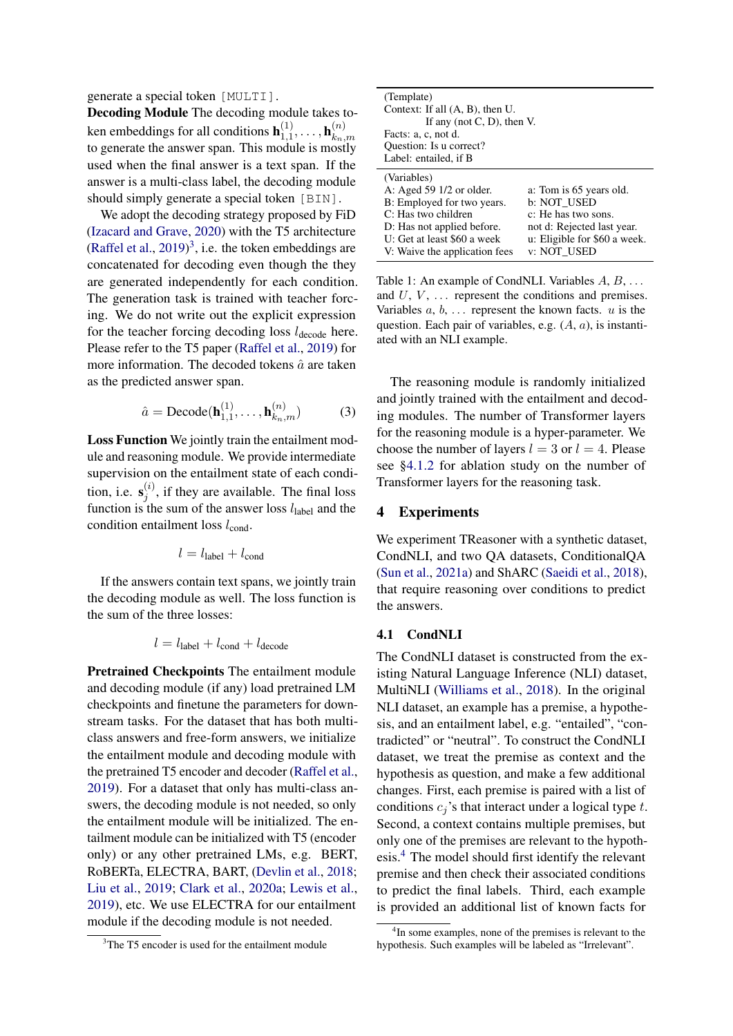generate a special token [MULTI].

Decoding Module The decoding module takes token embeddings for all conditions  $\mathbf{h}_{1,1}^{(1)}$  ${\bf h}_{1,1}^{(1)},\ldots,{\bf h}_{k_n}^{(n)},$  $k_n,m$ to generate the answer span. This module is mostly used when the final answer is a text span. If the answer is a multi-class label, the decoding module should simply generate a special token [BIN].

We adopt the decoding strategy proposed by FiD [\(Izacard and Grave,](#page-10-12) [2020\)](#page-10-12) with the T5 architecture [\(Raffel et al.,](#page-10-13)  $2019)^3$  $2019)^3$  $2019)^3$ , i.e. the token embeddings are concatenated for decoding even though the they are generated independently for each condition. The generation task is trained with teacher forcing. We do not write out the explicit expression for the teacher forcing decoding loss  $l_{\text{decode}}$  here. Please refer to the T5 paper [\(Raffel et al.,](#page-10-13) [2019\)](#page-10-13) for more information. The decoded tokens  $\hat{a}$  are taken as the predicted answer span.

<span id="page-4-3"></span>
$$
\hat{a} = \text{Decode}(\mathbf{h}_{1,1}^{(1)}, \dots, \mathbf{h}_{k_n,m}^{(n)})
$$
(3)

Loss Function We jointly train the entailment module and reasoning module. We provide intermediate supervision on the entailment state of each condition, i.e.  $s_i^{(i)}$  $j^{(i)}$ , if they are available. The final loss function is the sum of the answer loss  $l_{\text{label}}$  and the condition entailment loss  $l_{\text{cond}}$ .

$$
l = l_{\text{label}} + l_{\text{cond}}
$$

If the answers contain text spans, we jointly train the decoding module as well. The loss function is the sum of the three losses:

$$
l = l_{\text{label}} + l_{\text{cond}} + l_{\text{decode}}
$$

Pretrained Checkpoints The entailment module and decoding module (if any) load pretrained LM checkpoints and finetune the parameters for downstream tasks. For the dataset that has both multiclass answers and free-form answers, we initialize the entailment module and decoding module with the pretrained T5 encoder and decoder [\(Raffel et al.,](#page-10-13) [2019\)](#page-10-13). For a dataset that only has multi-class answers, the decoding module is not needed, so only the entailment module will be initialized. The entailment module can be initialized with T5 (encoder only) or any other pretrained LMs, e.g. BERT, RoBERTa, ELECTRA, BART, [\(Devlin et al.,](#page-9-6) [2018;](#page-9-6) [Liu et al.,](#page-10-14) [2019;](#page-10-14) [Clark et al.,](#page-9-7) [2020a;](#page-9-7) [Lewis et al.,](#page-10-15) [2019\)](#page-10-15), etc. We use ELECTRA for our entailment module if the decoding module is not needed.

<span id="page-4-2"></span>

| (Template)                         |                              |
|------------------------------------|------------------------------|
| Context: If all $(A, B)$ , then U. |                              |
| If any (not $C$ , $D$ ), then V.   |                              |
| Facts: a, c, not d.                |                              |
| Question: Is u correct?            |                              |
| Label: entailed, if B              |                              |
| (Variables)                        |                              |
| A: Aged $59 \frac{1}{2}$ or older. | a: Tom is 65 years old.      |
| B: Employed for two years.         | b: NOT USED                  |
| C: Has two children                | c: He has two sons.          |
| D: Has not applied before.         | not d: Rejected last year.   |
| U: Get at least \$60 a week        | u: Eligible for \$60 a week. |
| V: Waive the application fees      | v: NOT USED                  |

Table 1: An example of CondNLI. Variables  $A, B, \ldots$ and  $U, V, \ldots$  represent the conditions and premises. Variables  $a, b, \ldots$  represent the known facts.  $u$  is the question. Each pair of variables, e.g.  $(A, a)$ , is instantiated with an NLI example.

The reasoning module is randomly initialized and jointly trained with the entailment and decoding modules. The number of Transformer layers for the reasoning module is a hyper-parameter. We choose the number of layers  $l = 3$  or  $l = 4$ . Please see [§4.1.2](#page-5-0) for ablation study on the number of Transformer layers for the reasoning task.

# 4 Experiments

We experiment TReasoner with a synthetic dataset, CondNLI, and two QA datasets, ConditionalQA [\(Sun et al.,](#page-10-2) [2021a\)](#page-10-2) and ShARC [\(Saeidi et al.,](#page-10-3) [2018\)](#page-10-3), that require reasoning over conditions to predict the answers.

#### 4.1 CondNLI

The CondNLI dataset is constructed from the existing Natural Language Inference (NLI) dataset, MultiNLI [\(Williams et al.,](#page-10-16) [2018\)](#page-10-16). In the original NLI dataset, an example has a premise, a hypothesis, and an entailment label, e.g. "entailed", "contradicted" or "neutral". To construct the CondNLI dataset, we treat the premise as context and the hypothesis as question, and make a few additional changes. First, each premise is paired with a list of conditions  $c_j$ 's that interact under a logical type t. Second, a context contains multiple premises, but only one of the premises are relevant to the hypothesis.[4](#page-4-1) The model should first identify the relevant premise and then check their associated conditions to predict the final labels. Third, each example is provided an additional list of known facts for

<span id="page-4-0"></span><sup>&</sup>lt;sup>3</sup>The T5 encoder is used for the entailment module

<span id="page-4-1"></span><sup>4</sup> In some examples, none of the premises is relevant to the hypothesis. Such examples will be labeled as "Irrelevant".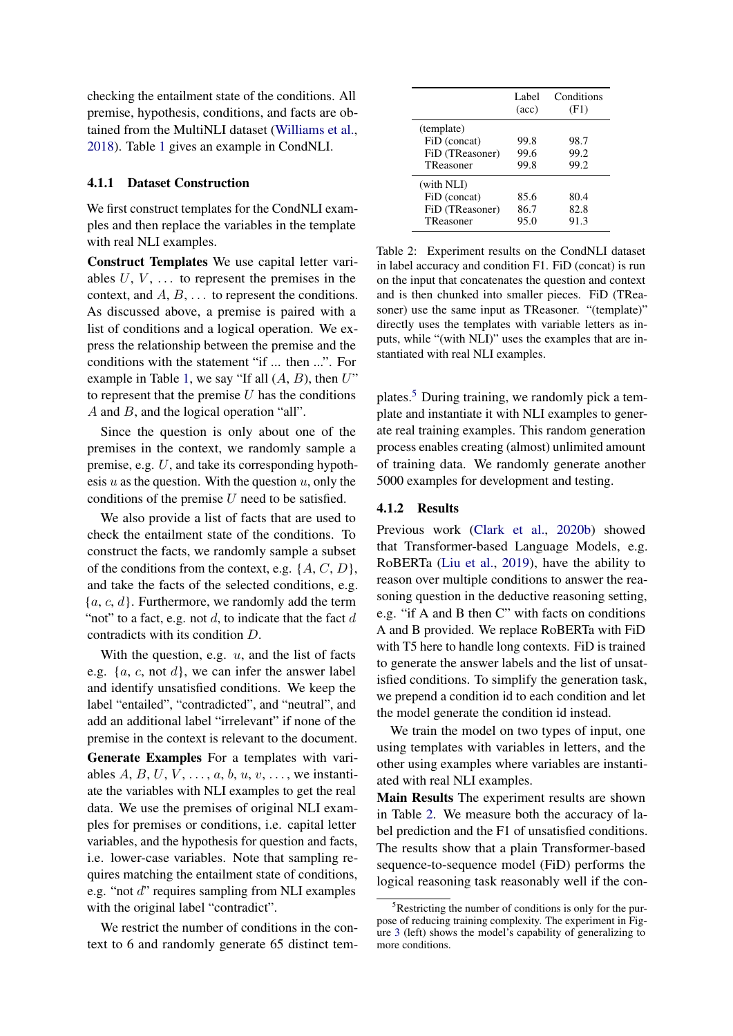checking the entailment state of the conditions. All premise, hypothesis, conditions, and facts are obtained from the MultiNLI dataset [\(Williams et al.,](#page-10-16) [2018\)](#page-10-16). Table [1](#page-4-2) gives an example in CondNLI.

# 4.1.1 Dataset Construction

We first construct templates for the CondNLI examples and then replace the variables in the template with real NLI examples.

Construct Templates We use capital letter variables  $U, V, \ldots$  to represent the premises in the context, and  $A, B, \ldots$  to represent the conditions. As discussed above, a premise is paired with a list of conditions and a logical operation. We express the relationship between the premise and the conditions with the statement "if ... then ...". For example in Table [1,](#page-4-2) we say "If all  $(A, B)$ , then  $U$ " to represent that the premise  $U$  has the conditions A and B, and the logical operation "all".

Since the question is only about one of the premises in the context, we randomly sample a premise, e.g. U, and take its corresponding hypothesis  $u$  as the question. With the question  $u$ , only the conditions of the premise  $U$  need to be satisfied.

We also provide a list of facts that are used to check the entailment state of the conditions. To construct the facts, we randomly sample a subset of the conditions from the context, e.g.  $\{A, C, D\}$ , and take the facts of the selected conditions, e.g.  ${a, c, d}$ . Furthermore, we randomly add the term "not" to a fact, e.g. not  $d$ , to indicate that the fact  $d$ contradicts with its condition D.

With the question, e.g.  $u$ , and the list of facts e.g.  $\{a, c, \text{not } d\}$ , we can infer the answer label and identify unsatisfied conditions. We keep the label "entailed", "contradicted", and "neutral", and add an additional label "irrelevant" if none of the premise in the context is relevant to the document. Generate Examples For a templates with variables  $A, B, U, V, \ldots, a, b, u, v, \ldots$ , we instantiate the variables with NLI examples to get the real data. We use the premises of original NLI examples for premises or conditions, i.e. capital letter variables, and the hypothesis for question and facts, i.e. lower-case variables. Note that sampling requires matching the entailment state of conditions, e.g. "not d" requires sampling from NLI examples with the original label "contradict".

We restrict the number of conditions in the context to 6 and randomly generate 65 distinct tem-

<span id="page-5-2"></span>

|                                                            | Label<br>$(\text{acc})$ | Conditions<br>(F1)   |
|------------------------------------------------------------|-------------------------|----------------------|
| (template)<br>FiD (concat)<br>FiD (TReasoner)<br>TReasoner | 99.8<br>99.6<br>99.8    | 98.7<br>99.2<br>99.2 |
| (with NLI)<br>FiD (concat)<br>FiD (TReasoner)<br>TReasoner | 85.6<br>86.7<br>95.0    | 80.4<br>82.8<br>91.3 |

Table 2: Experiment results on the CondNLI dataset in label accuracy and condition F1. FiD (concat) is run on the input that concatenates the question and context and is then chunked into smaller pieces. FiD (TReasoner) use the same input as TReasoner. "(template)" directly uses the templates with variable letters as inputs, while "(with NLI)" uses the examples that are instantiated with real NLI examples.

plates.[5](#page-5-1) During training, we randomly pick a template and instantiate it with NLI examples to generate real training examples. This random generation process enables creating (almost) unlimited amount of training data. We randomly generate another 5000 examples for development and testing.

### <span id="page-5-0"></span>4.1.2 Results

Previous work [\(Clark et al.,](#page-9-2) [2020b\)](#page-9-2) showed that Transformer-based Language Models, e.g. RoBERTa [\(Liu et al.,](#page-10-14) [2019\)](#page-10-14), have the ability to reason over multiple conditions to answer the reasoning question in the deductive reasoning setting, e.g. "if A and B then C" with facts on conditions A and B provided. We replace RoBERTa with FiD with T5 here to handle long contexts. FiD is trained to generate the answer labels and the list of unsatisfied conditions. To simplify the generation task, we prepend a condition id to each condition and let the model generate the condition id instead.

We train the model on two types of input, one using templates with variables in letters, and the other using examples where variables are instantiated with real NLI examples.

Main Results The experiment results are shown in Table [2.](#page-5-2) We measure both the accuracy of label prediction and the F1 of unsatisfied conditions. The results show that a plain Transformer-based sequence-to-sequence model (FiD) performs the logical reasoning task reasonably well if the con-

<span id="page-5-1"></span> $5$ Restricting the number of conditions is only for the purpose of reducing training complexity. The experiment in Figure [3](#page-6-1) (left) shows the model's capability of generalizing to more conditions.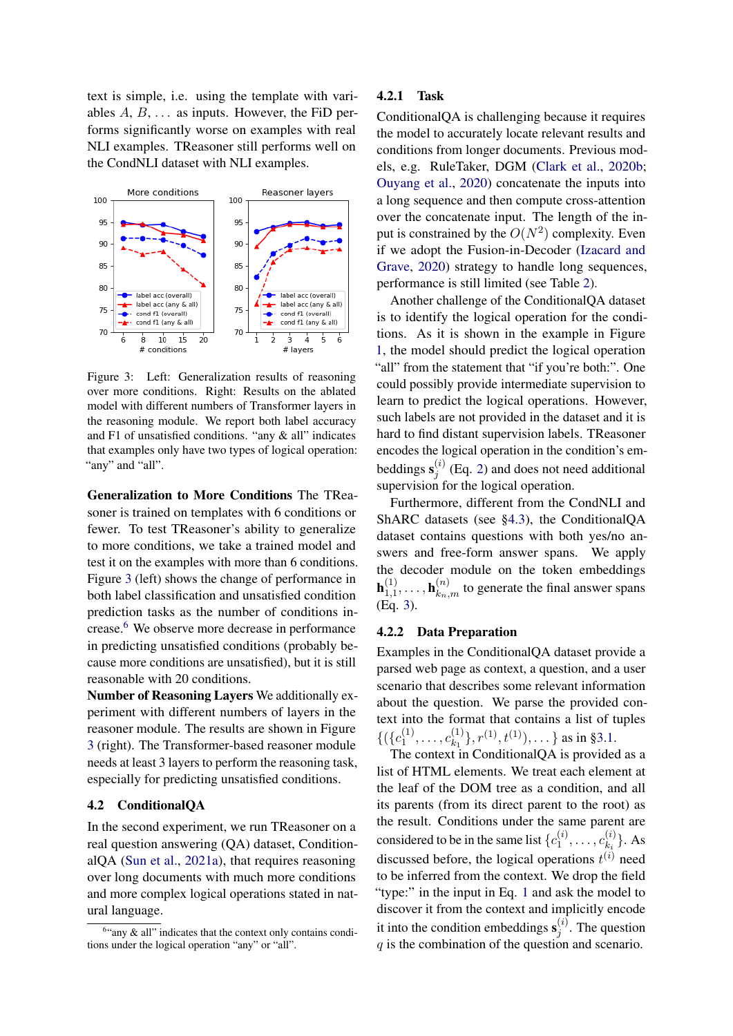text is simple, i.e. using the template with variables  $A, B, \ldots$  as inputs. However, the FiD performs significantly worse on examples with real NLI examples. TReasoner still performs well on the CondNLI dataset with NLI examples.

<span id="page-6-1"></span>

Figure 3: Left: Generalization results of reasoning over more conditions. Right: Results on the ablated model with different numbers of Transformer layers in the reasoning module. We report both label accuracy and F1 of unsatisfied conditions. "any & all" indicates that examples only have two types of logical operation: "any" and "all".

Generalization to More Conditions The TReasoner is trained on templates with 6 conditions or fewer. To test TReasoner's ability to generalize to more conditions, we take a trained model and test it on the examples with more than 6 conditions. Figure [3](#page-6-1) (left) shows the change of performance in both label classification and unsatisfied condition prediction tasks as the number of conditions increase.[6](#page-6-2) We observe more decrease in performance in predicting unsatisfied conditions (probably because more conditions are unsatisfied), but it is still reasonable with 20 conditions.

Number of Reasoning Layers We additionally experiment with different numbers of layers in the reasoner module. The results are shown in Figure [3](#page-6-1) (right). The Transformer-based reasoner module needs at least 3 layers to perform the reasoning task, especially for predicting unsatisfied conditions.

# <span id="page-6-0"></span>4.2 ConditionalQA

In the second experiment, we run TReasoner on a real question answering (QA) dataset, ConditionalQA [\(Sun et al.,](#page-10-2) [2021a\)](#page-10-2), that requires reasoning over long documents with much more conditions and more complex logical operations stated in natural language.

#### 4.2.1 Task

ConditionalQA is challenging because it requires the model to accurately locate relevant results and conditions from longer documents. Previous models, e.g. RuleTaker, DGM [\(Clark et al.,](#page-9-2) [2020b;](#page-9-2) [Ouyang et al.,](#page-10-11) [2020\)](#page-10-11) concatenate the inputs into a long sequence and then compute cross-attention over the concatenate input. The length of the input is constrained by the  $O(N^2)$  complexity. Even if we adopt the Fusion-in-Decoder [\(Izacard and](#page-10-12) [Grave,](#page-10-12) [2020\)](#page-10-12) strategy to handle long sequences, performance is still limited (see Table [2\)](#page-5-2).

Another challenge of the ConditionalQA dataset is to identify the logical operation for the conditions. As it is shown in the example in Figure [1,](#page-0-1) the model should predict the logical operation "all" from the statement that "if you're both:". One could possibly provide intermediate supervision to learn to predict the logical operations. However, such labels are not provided in the dataset and it is hard to find distant supervision labels. TReasoner encodes the logical operation in the condition's embeddings  $s_i^{(i)}$  $j_j^{(i)}$  (Eq. [2\)](#page-3-0) and does not need additional supervision for the logical operation.

Furthermore, different from the CondNLI and ShARC datasets (see [§4.3\)](#page-7-0), the ConditionalQA dataset contains questions with both yes/no answers and free-form answer spans. We apply the decoder module on the token embeddings  ${\bf h}_{1.1}^{(1)}$  $\mathbf{h}_{1,1}^{(1)}, \ldots, \mathbf{h}_{k_n,m}^{(n)}$  to generate the final answer spans (Eq. [3\)](#page-4-3).

### 4.2.2 Data Preparation

Examples in the ConditionalQA dataset provide a parsed web page as context, a question, and a user scenario that describes some relevant information about the question. We parse the provided context into the format that contains a list of tuples  $\{(\{c_1^{(1)}\}$  $c_{1}^{(1)}, \ldots, c_{k_1}^{(1)}$  ${k_1 \choose k_1}, r^{(1)}, t^{(1)}), \ldots$  as in [§3.1.](#page-2-1)

The context in ConditionalQA is provided as a list of HTML elements. We treat each element at the leaf of the DOM tree as a condition, and all its parents (from its direct parent to the root) as the result. Conditions under the same parent are considered to be in the same list  $\{c_1^{(i)}\}$  $c^{(i)}_1,\ldots,c^{(i)}_{k_i}$  $\{k_i^{(i)}\}$ . As discussed before, the logical operations  $t^{(i)}$  need to be inferred from the context. We drop the field "type:" in the input in Eq. [1](#page-3-1) and ask the model to discover it from the context and implicitly encode it into the condition embeddings  $\mathbf{s}_i^{(i)}$  $j_j^{(i)}$ . The question  $q$  is the combination of the question and scenario.

<span id="page-6-2"></span><sup>&</sup>lt;sup>6</sup>"any & all" indicates that the context only contains conditions under the logical operation "any" or "all".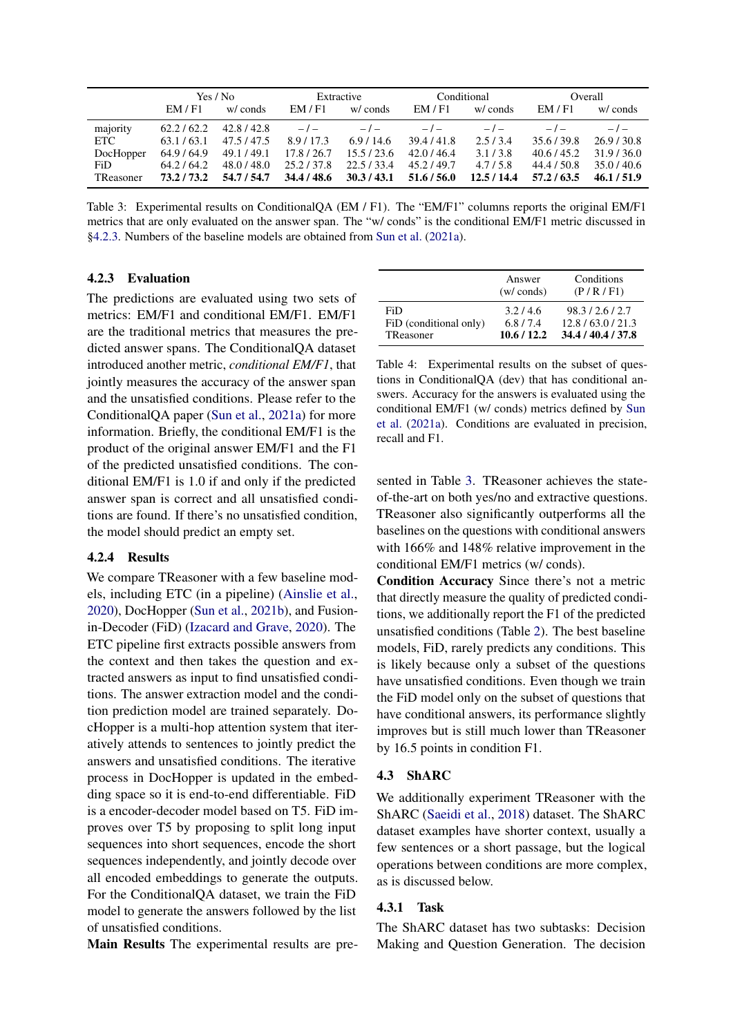<span id="page-7-2"></span>

|           |           | Yes / No    |           | Extractive  |             | Conditional |             | Overall     |
|-----------|-----------|-------------|-----------|-------------|-------------|-------------|-------------|-------------|
|           | EM/F1     | w/ conds    | EM/F1     | w/ conds    | EM/Fl       | w/ conds    | EM/F1       | w/ conds    |
| majority  | 62.2/62.2 | 42.8/42.8   | $-1-$     | $-1-$       | $-1-$       | $-1$        | $-1$        | $-1$        |
| ETC .     | 63.1/63.1 | 47.5/47.5   | 8.9/17.3  | 6.9/14.6    | 39.4/41.8   | 2.5/3.4     | 35.6/39.8   | 26.9/30.8   |
| DocHopper | 64.9/64.9 | 49.1 / 49.1 | 17.8/26.7 | 15.5/23.6   | 42.0/46.4   | 3.1/3.8     | 40.6 / 45.2 | 31.9/36.0   |
| FiD.      | 64.2/64.2 | 48.0 / 48.0 | 25.2/37.8 | 22.5/33.4   | 45.2/49.7   | 4.7/5.8     | 44.4 / 50.8 | 35.0/40.6   |
| TReasoner | 73.2/73.2 | 54.7 / 54.7 | 34.4/48.6 | 30.3 / 43.1 | 51.6 / 56.0 | 12.5/14.4   | 57.2/63.5   | 46.1 / 51.9 |

Table 3: Experimental results on ConditionalQA (EM / F1). The "EM/F1" columns reports the original EM/F1 metrics that are only evaluated on the answer span. The "w/ conds" is the conditional EM/F1 metric discussed in [§4.2.3.](#page-7-1) Numbers of the baseline models are obtained from [Sun et al.](#page-10-2) [\(2021a\)](#page-10-2).

## <span id="page-7-1"></span>4.2.3 Evaluation

The predictions are evaluated using two sets of metrics: EM/F1 and conditional EM/F1. EM/F1 are the traditional metrics that measures the predicted answer spans. The ConditionalQA dataset introduced another metric, *conditional EM/F1*, that jointly measures the accuracy of the answer span and the unsatisfied conditions. Please refer to the ConditionalQA paper [\(Sun et al.,](#page-10-2) [2021a\)](#page-10-2) for more information. Briefly, the conditional EM/F1 is the product of the original answer EM/F1 and the F1 of the predicted unsatisfied conditions. The conditional EM/F1 is 1.0 if and only if the predicted answer span is correct and all unsatisfied conditions are found. If there's no unsatisfied condition, the model should predict an empty set.

### 4.2.4 Results

We compare TReasoner with a few baseline models, including ETC (in a pipeline) [\(Ainslie et al.,](#page-9-8) [2020\)](#page-9-8), DocHopper [\(Sun et al.,](#page-10-17) [2021b\)](#page-10-17), and Fusionin-Decoder (FiD) [\(Izacard and Grave,](#page-10-12) [2020\)](#page-10-12). The ETC pipeline first extracts possible answers from the context and then takes the question and extracted answers as input to find unsatisfied conditions. The answer extraction model and the condition prediction model are trained separately. DocHopper is a multi-hop attention system that iteratively attends to sentences to jointly predict the answers and unsatisfied conditions. The iterative process in DocHopper is updated in the embedding space so it is end-to-end differentiable. FiD is a encoder-decoder model based on T5. FiD improves over T5 by proposing to split long input sequences into short sequences, encode the short sequences independently, and jointly decode over all encoded embeddings to generate the outputs. For the ConditionalQA dataset, we train the FiD model to generate the answers followed by the list of unsatisfied conditions.

Main Results The experimental results are pre-

|                        | Answer<br>$(w / \text{conds})$ | Conditions<br>(P/R/F1) |
|------------------------|--------------------------------|------------------------|
| <b>FiD</b>             | 3.2/4.6                        | 98.3/2.6/2.7           |
| FiD (conditional only) | 6.8/7.4                        | 12.8/63.0/21.3         |
| TReasoner              | 10.6/12.2                      | 34.4/40.4/37.8         |

Table 4: Experimental results on the subset of questions in ConditionalQA (dev) that has conditional answers. Accuracy for the answers is evaluated using the conditional EM/F1 (w/ conds) metrics defined by [Sun](#page-10-2) [et al.](#page-10-2) [\(2021a\)](#page-10-2). Conditions are evaluated in precision, recall and F1.

sented in Table [3.](#page-7-2) TReasoner achieves the stateof-the-art on both yes/no and extractive questions. TReasoner also significantly outperforms all the baselines on the questions with conditional answers with 166% and 148% relative improvement in the conditional EM/F1 metrics (w/ conds).

Condition Accuracy Since there's not a metric that directly measure the quality of predicted conditions, we additionally report the F1 of the predicted unsatisfied conditions (Table [2\)](#page-5-2). The best baseline models, FiD, rarely predicts any conditions. This is likely because only a subset of the questions have unsatisfied conditions. Even though we train the FiD model only on the subset of questions that have conditional answers, its performance slightly improves but is still much lower than TReasoner by 16.5 points in condition F1.

### <span id="page-7-0"></span>4.3 ShARC

We additionally experiment TReasoner with the ShARC [\(Saeidi et al.,](#page-10-3) [2018\)](#page-10-3) dataset. The ShARC dataset examples have shorter context, usually a few sentences or a short passage, but the logical operations between conditions are more complex, as is discussed below.

# 4.3.1 Task

The ShARC dataset has two subtasks: Decision Making and Question Generation. The decision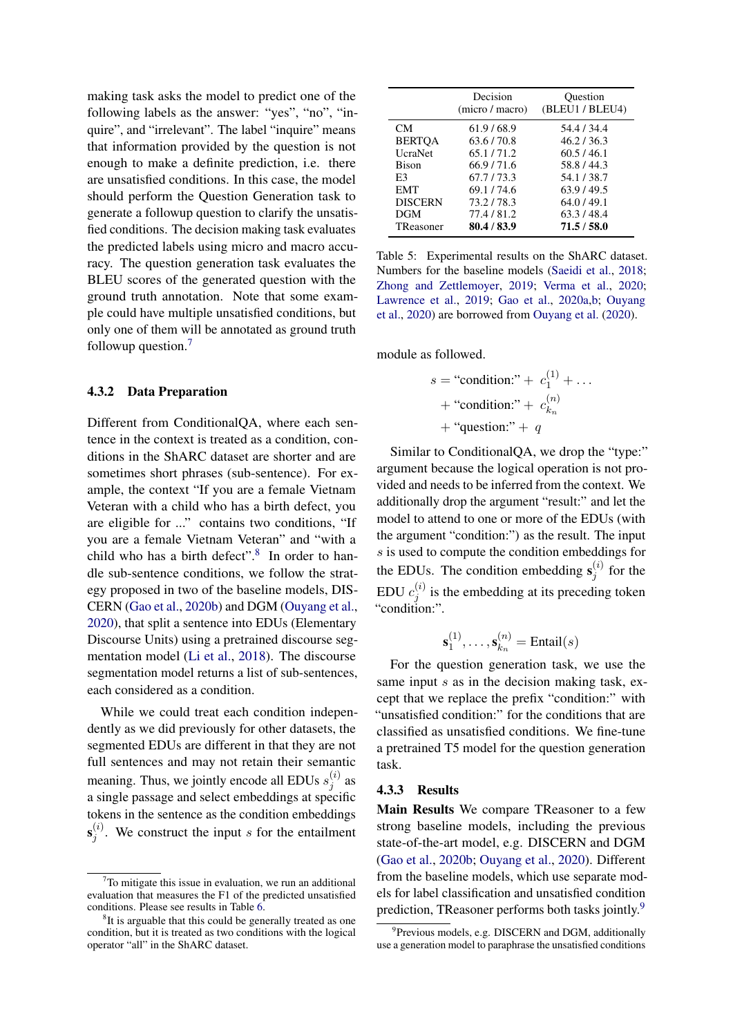making task asks the model to predict one of the following labels as the answer: "yes", "no", "inquire", and "irrelevant". The label "inquire" means that information provided by the question is not enough to make a definite prediction, i.e. there are unsatisfied conditions. In this case, the model should perform the Question Generation task to generate a followup question to clarify the unsatisfied conditions. The decision making task evaluates the predicted labels using micro and macro accuracy. The question generation task evaluates the BLEU scores of the generated question with the ground truth annotation. Note that some example could have multiple unsatisfied conditions, but only one of them will be annotated as ground truth followup question.[7](#page-8-0)

#### 4.3.2 Data Preparation

Different from ConditionalQA, where each sentence in the context is treated as a condition, conditions in the ShARC dataset are shorter and are sometimes short phrases (sub-sentence). For example, the context "If you are a female Vietnam Veteran with a child who has a birth defect, you are eligible for ..." contains two conditions, "If you are a female Vietnam Veteran" and "with a child who has a birth defect". $8$  In order to handle sub-sentence conditions, we follow the strategy proposed in two of the baseline models, DIS-CERN [\(Gao et al.,](#page-10-10) [2020b\)](#page-10-10) and DGM [\(Ouyang et al.,](#page-10-11) [2020\)](#page-10-11), that split a sentence into EDUs (Elementary Discourse Units) using a pretrained discourse segmentation model [\(Li et al.,](#page-10-18) [2018\)](#page-10-18). The discourse segmentation model returns a list of sub-sentences, each considered as a condition.

While we could treat each condition independently as we did previously for other datasets, the segmented EDUs are different in that they are not full sentences and may not retain their semantic meaning. Thus, we jointly encode all EDUs  $s_i^{(i)}$  $j^{(i)}$  as a single passage and select embeddings at specific tokens in the sentence as the condition embeddings  $\mathbf{s}_i^{(i)}$  $j^{(i)}$ . We construct the input s for the entailment

<span id="page-8-3"></span>

|                 | Decision<br>(micro / macro) | Ouestion<br>(BLEU1 / BLEU4) |
|-----------------|-----------------------------|-----------------------------|
| CM.             | 61.9/68.9                   | 54.4 / 34.4                 |
| <b>BERTOA</b>   | 63.6/70.8                   | 46.2/36.3                   |
| <b>U</b> craNet | 65.1/71.2                   | 60.5/46.1                   |
| <b>Bison</b>    | 66.9/71.6                   | 58.8/44.3                   |
| E3              | 67.7/73.3                   | 54.1/38.7                   |
| <b>EMT</b>      | 69.1/74.6                   | 63.9/49.5                   |
| <b>DISCERN</b>  | 73.2/78.3                   | 64.0/49.1                   |
| DGM             | 77.4/81.2                   | 63.3/48.4                   |
| TReasoner       | 80.4/83.9                   | 71.5 / 58.0                 |

Table 5: Experimental results on the ShARC dataset. Numbers for the baseline models [\(Saeidi et al.,](#page-10-3) [2018;](#page-10-3) [Zhong and Zettlemoyer,](#page-10-19) [2019;](#page-10-19) [Verma et al.,](#page-10-20) [2020;](#page-10-20) [Lawrence et al.,](#page-10-21) [2019;](#page-10-21) [Gao et al.,](#page-9-5) [2020a](#page-9-5)[,b;](#page-10-10) [Ouyang](#page-10-11) [et al.,](#page-10-11) [2020\)](#page-10-11) are borrowed from [Ouyang et al.](#page-10-11) [\(2020\)](#page-10-11).

module as followed.

$$
s = \text{``condition:''} + c_1^{(1)} + \dots
$$
  
+ \text{``condition:''} + c\_{k\_n}^{(n)}  
+ \text{``question:''} + q

Similar to ConditionalQA, we drop the "type:" argument because the logical operation is not provided and needs to be inferred from the context. We additionally drop the argument "result:" and let the model to attend to one or more of the EDUs (with the argument "condition:") as the result. The input s is used to compute the condition embeddings for the EDUs. The condition embedding  $s_i^{(i)}$  $j^{(i)}$  for the EDU  $c_i^{(i)}$  $j_j^{(i)}$  is the embedding at its preceding token "condition:".

$$
\mathbf{s}_1^{(1)},\ldots,\mathbf{s}_{k_n}^{(n)} = \text{Entail}(s)
$$

For the question generation task, we use the same input  $s$  as in the decision making task, except that we replace the prefix "condition:" with "unsatisfied condition:" for the conditions that are classified as unsatisfied conditions. We fine-tune a pretrained T5 model for the question generation task.

#### 4.3.3 Results

Main Results We compare TReasoner to a few strong baseline models, including the previous state-of-the-art model, e.g. DISCERN and DGM [\(Gao et al.,](#page-10-10) [2020b;](#page-10-10) [Ouyang et al.,](#page-10-11) [2020\)](#page-10-11). Different from the baseline models, which use separate models for label classification and unsatisfied condition prediction, TReasoner performs both tasks jointly.<sup>[9](#page-8-2)</sup>

<span id="page-8-0"></span> $\sigma$ To mitigate this issue in evaluation, we run an additional evaluation that measures the F1 of the predicted unsatisfied conditions. Please see results in Table [6.](#page-9-9)

<span id="page-8-1"></span><sup>&</sup>lt;sup>8</sup>It is arguable that this could be generally treated as one condition, but it is treated as two conditions with the logical operator "all" in the ShARC dataset.

<span id="page-8-2"></span><sup>&</sup>lt;sup>9</sup> Previous models, e.g. DISCERN and DGM, additionally use a generation model to paraphrase the unsatisfied conditions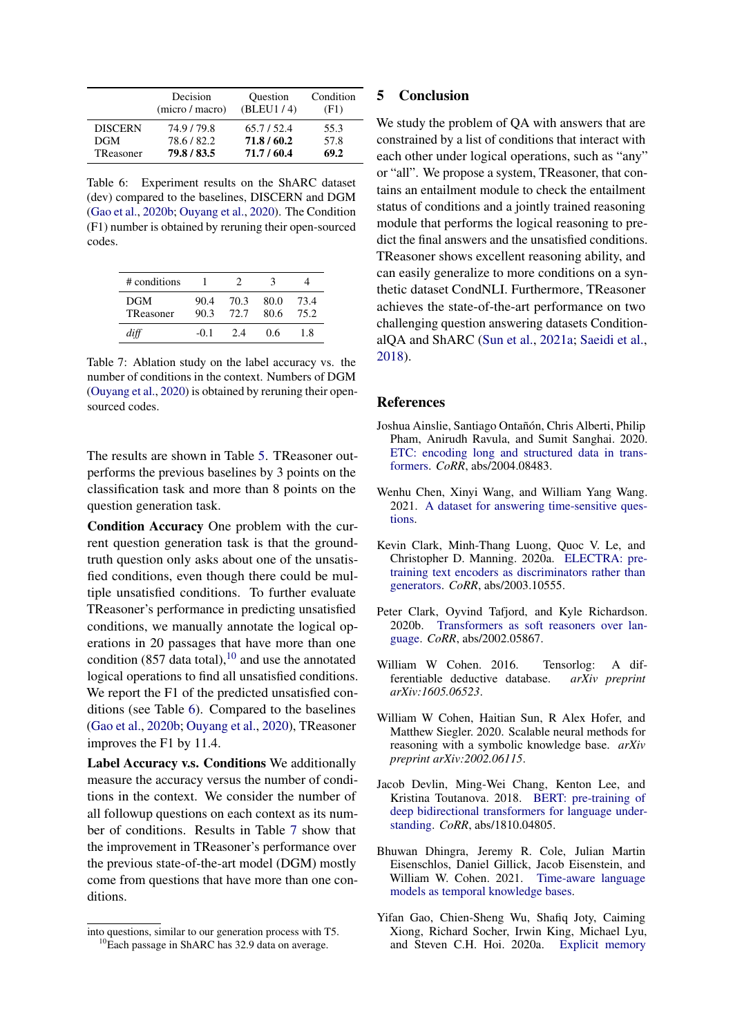<span id="page-9-9"></span>

|                | Decision<br>(micro / macro) | <b>Ouestion</b><br>(BLEU1/4) | Condition<br>(F1) |
|----------------|-----------------------------|------------------------------|-------------------|
| <b>DISCERN</b> | 74.9/79.8                   | 65.7/52.4                    | 55.3              |
| <b>DGM</b>     | 78.6/82.2                   | 71.8/60.2                    | 57.8              |
| TReasoner      | 79.8/83.5                   | 71.7/60.4                    | 69.2              |

Table 6: Experiment results on the ShARC dataset (dev) compared to the baselines, DISCERN and DGM [\(Gao et al.,](#page-10-10) [2020b;](#page-10-10) [Ouyang et al.,](#page-10-11) [2020\)](#page-10-11). The Condition (F1) number is obtained by reruning their open-sourced codes.

<span id="page-9-11"></span>

| # conditions            |              |              | $\blacktriangleleft$ |              |
|-------------------------|--------------|--------------|----------------------|--------------|
| <b>DGM</b><br>TReasoner | 90.4<br>90.3 | 70.3<br>72.7 | 80.0<br>80.6         | 73.4<br>75.2 |
| diff                    | -0.1         | 2 A          | 06                   | 18           |

Table 7: Ablation study on the label accuracy vs. the number of conditions in the context. Numbers of DGM [\(Ouyang et al.,](#page-10-11) [2020\)](#page-10-11) is obtained by reruning their opensourced codes.

The results are shown in Table [5.](#page-8-3) TReasoner outperforms the previous baselines by 3 points on the classification task and more than 8 points on the question generation task.

Condition Accuracy One problem with the current question generation task is that the groundtruth question only asks about one of the unsatisfied conditions, even though there could be multiple unsatisfied conditions. To further evaluate TReasoner's performance in predicting unsatisfied conditions, we manually annotate the logical operations in 20 passages that have more than one condition  $(857 \text{ data total})$ , <sup>[10](#page-9-10)</sup> and use the annotated logical operations to find all unsatisfied conditions. We report the F1 of the predicted unsatisfied conditions (see Table [6\)](#page-9-9). Compared to the baselines [\(Gao et al.,](#page-10-10) [2020b;](#page-10-10) [Ouyang et al.,](#page-10-11) [2020\)](#page-10-11), TReasoner improves the F1 by 11.4.

Label Accuracy v.s. Conditions We additionally measure the accuracy versus the number of conditions in the context. We consider the number of all followup questions on each context as its number of conditions. Results in Table [7](#page-9-11) show that the improvement in TReasoner's performance over the previous state-of-the-art model (DGM) mostly come from questions that have more than one conditions.

# 5 Conclusion

We study the problem of QA with answers that are constrained by a list of conditions that interact with each other under logical operations, such as "any" or "all". We propose a system, TReasoner, that contains an entailment module to check the entailment status of conditions and a jointly trained reasoning module that performs the logical reasoning to predict the final answers and the unsatisfied conditions. TReasoner shows excellent reasoning ability, and can easily generalize to more conditions on a synthetic dataset CondNLI. Furthermore, TReasoner achieves the state-of-the-art performance on two challenging question answering datasets ConditionalQA and ShARC [\(Sun et al.,](#page-10-2) [2021a;](#page-10-2) [Saeidi et al.,](#page-10-3) [2018\)](#page-10-3).

#### References

- <span id="page-9-8"></span>Joshua Ainslie, Santiago Ontañón, Chris Alberti, Philip Pham, Anirudh Ravula, and Sumit Sanghai. 2020. [ETC: encoding long and structured data in trans](http://arxiv.org/abs/2004.08483)[formers.](http://arxiv.org/abs/2004.08483) *CoRR*, abs/2004.08483.
- <span id="page-9-1"></span>Wenhu Chen, Xinyi Wang, and William Yang Wang. 2021. [A dataset for answering time-sensitive ques](http://arxiv.org/abs/2108.06314)[tions.](http://arxiv.org/abs/2108.06314)
- <span id="page-9-7"></span>Kevin Clark, Minh-Thang Luong, Quoc V. Le, and Christopher D. Manning. 2020a. [ELECTRA: pre](http://arxiv.org/abs/2003.10555)[training text encoders as discriminators rather than](http://arxiv.org/abs/2003.10555) [generators.](http://arxiv.org/abs/2003.10555) *CoRR*, abs/2003.10555.
- <span id="page-9-2"></span>Peter Clark, Oyvind Tafjord, and Kyle Richardson. 2020b. [Transformers as soft reasoners over lan](http://arxiv.org/abs/2002.05867)[guage.](http://arxiv.org/abs/2002.05867) *CoRR*, abs/2002.05867.
- <span id="page-9-3"></span>William W Cohen. 2016. Tensorlog: A differentiable deductive database. *arXiv preprint arXiv:1605.06523*.
- <span id="page-9-4"></span>William W Cohen, Haitian Sun, R Alex Hofer, and Matthew Siegler. 2020. Scalable neural methods for reasoning with a symbolic knowledge base. *arXiv preprint arXiv:2002.06115*.
- <span id="page-9-6"></span>Jacob Devlin, Ming-Wei Chang, Kenton Lee, and Kristina Toutanova. 2018. [BERT: pre-training of](http://arxiv.org/abs/1810.04805) [deep bidirectional transformers for language under](http://arxiv.org/abs/1810.04805)[standing.](http://arxiv.org/abs/1810.04805) *CoRR*, abs/1810.04805.
- <span id="page-9-0"></span>Bhuwan Dhingra, Jeremy R. Cole, Julian Martin Eisenschlos, Daniel Gillick, Jacob Eisenstein, and William W. Cohen. 2021. [Time-aware language](http://arxiv.org/abs/2106.15110) [models as temporal knowledge bases.](http://arxiv.org/abs/2106.15110)
- <span id="page-9-5"></span>Yifan Gao, Chien-Sheng Wu, Shafiq Joty, Caiming Xiong, Richard Socher, Irwin King, Michael Lyu, and Steven C.H. Hoi. 2020a. [Explicit memory](https://doi.org/10.18653/v1/2020.acl-main.88)

<span id="page-9-10"></span>into questions, similar to our generation process with T5. <sup>10</sup>Each passage in ShARC has 32.9 data on average.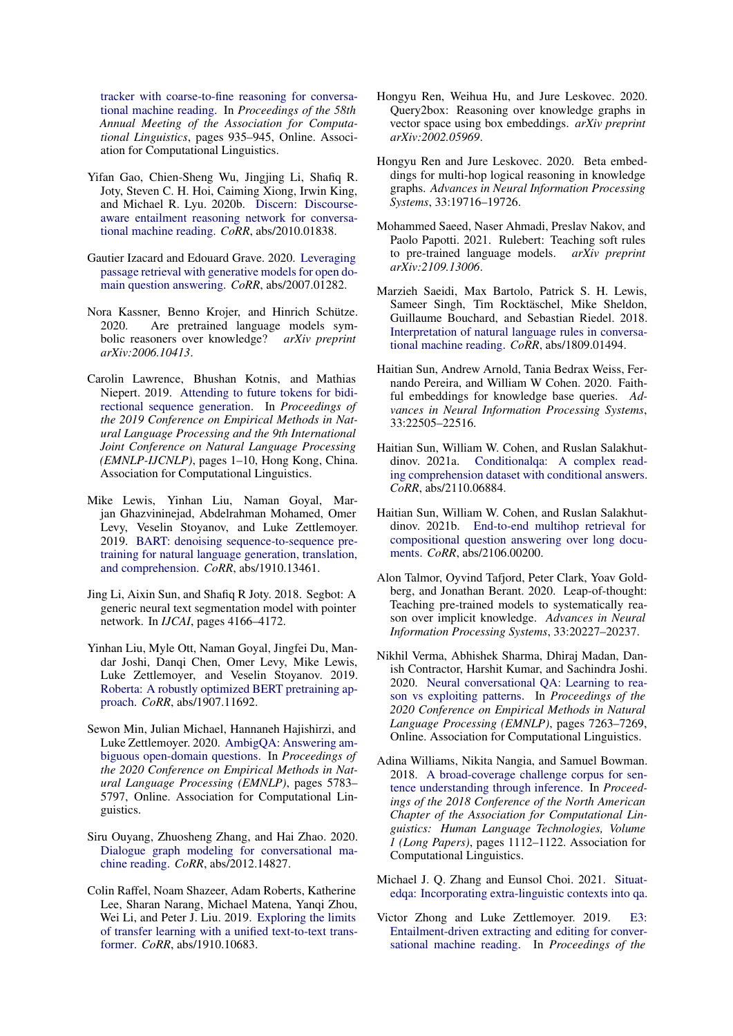[tracker with coarse-to-fine reasoning for conversa](https://doi.org/10.18653/v1/2020.acl-main.88)[tional machine reading.](https://doi.org/10.18653/v1/2020.acl-main.88) In *Proceedings of the 58th Annual Meeting of the Association for Computational Linguistics*, pages 935–945, Online. Association for Computational Linguistics.

- <span id="page-10-10"></span>Yifan Gao, Chien-Sheng Wu, Jingjing Li, Shafiq R. Joty, Steven C. H. Hoi, Caiming Xiong, Irwin King, and Michael R. Lyu. 2020b. [Discern: Discourse](http://arxiv.org/abs/2010.01838)[aware entailment reasoning network for conversa](http://arxiv.org/abs/2010.01838)[tional machine reading.](http://arxiv.org/abs/2010.01838) *CoRR*, abs/2010.01838.
- <span id="page-10-12"></span>Gautier Izacard and Edouard Grave. 2020. [Leveraging](http://arxiv.org/abs/2007.01282) [passage retrieval with generative models for open do](http://arxiv.org/abs/2007.01282)[main question answering.](http://arxiv.org/abs/2007.01282) *CoRR*, abs/2007.01282.
- <span id="page-10-9"></span>Nora Kassner, Benno Krojer, and Hinrich Schütze. 2020. Are pretrained language models symbolic reasoners over knowledge? *arXiv preprint arXiv:2006.10413*.
- <span id="page-10-21"></span>Carolin Lawrence, Bhushan Kotnis, and Mathias Niepert. 2019. [Attending to future tokens for bidi](https://doi.org/10.18653/v1/D19-1001)[rectional sequence generation.](https://doi.org/10.18653/v1/D19-1001) In *Proceedings of the 2019 Conference on Empirical Methods in Natural Language Processing and the 9th International Joint Conference on Natural Language Processing (EMNLP-IJCNLP)*, pages 1–10, Hong Kong, China. Association for Computational Linguistics.
- <span id="page-10-15"></span>Mike Lewis, Yinhan Liu, Naman Goyal, Marjan Ghazvininejad, Abdelrahman Mohamed, Omer Levy, Veselin Stoyanov, and Luke Zettlemoyer. 2019. [BART: denoising sequence-to-sequence pre](http://arxiv.org/abs/1910.13461)[training for natural language generation, translation,](http://arxiv.org/abs/1910.13461) [and comprehension.](http://arxiv.org/abs/1910.13461) *CoRR*, abs/1910.13461.
- <span id="page-10-18"></span>Jing Li, Aixin Sun, and Shafiq R Joty. 2018. Segbot: A generic neural text segmentation model with pointer network. In *IJCAI*, pages 4166–4172.
- <span id="page-10-14"></span>Yinhan Liu, Myle Ott, Naman Goyal, Jingfei Du, Mandar Joshi, Danqi Chen, Omer Levy, Mike Lewis, Luke Zettlemoyer, and Veselin Stoyanov. 2019. [Roberta: A robustly optimized BERT pretraining ap](http://arxiv.org/abs/1907.11692)[proach.](http://arxiv.org/abs/1907.11692) *CoRR*, abs/1907.11692.
- <span id="page-10-0"></span>Sewon Min, Julian Michael, Hannaneh Hajishirzi, and Luke Zettlemoyer. 2020. [AmbigQA: Answering am](https://doi.org/10.18653/v1/2020.emnlp-main.466)[biguous open-domain questions.](https://doi.org/10.18653/v1/2020.emnlp-main.466) In *Proceedings of the 2020 Conference on Empirical Methods in Natural Language Processing (EMNLP)*, pages 5783– 5797, Online. Association for Computational Linguistics.
- <span id="page-10-11"></span>Siru Ouyang, Zhuosheng Zhang, and Hai Zhao. 2020. [Dialogue graph modeling for conversational ma](http://arxiv.org/abs/2012.14827)[chine reading.](http://arxiv.org/abs/2012.14827) *CoRR*, abs/2012.14827.
- <span id="page-10-13"></span>Colin Raffel, Noam Shazeer, Adam Roberts, Katherine Lee, Sharan Narang, Michael Matena, Yanqi Zhou, Wei Li, and Peter J. Liu. 2019. [Exploring the limits](http://arxiv.org/abs/1910.10683) [of transfer learning with a unified text-to-text trans](http://arxiv.org/abs/1910.10683)[former.](http://arxiv.org/abs/1910.10683) *CoRR*, abs/1910.10683.
- <span id="page-10-5"></span>Hongyu Ren, Weihua Hu, and Jure Leskovec. 2020. Query2box: Reasoning over knowledge graphs in vector space using box embeddings. *arXiv preprint arXiv:2002.05969*.
- <span id="page-10-6"></span>Hongyu Ren and Jure Leskovec. 2020. Beta embeddings for multi-hop logical reasoning in knowledge graphs. *Advances in Neural Information Processing Systems*, 33:19716–19726.
- <span id="page-10-8"></span>Mohammed Saeed, Naser Ahmadi, Preslav Nakov, and Paolo Papotti. 2021. Rulebert: Teaching soft rules to pre-trained language models. *arXiv preprint arXiv:2109.13006*.
- <span id="page-10-3"></span>Marzieh Saeidi, Max Bartolo, Patrick S. H. Lewis, Sameer Singh, Tim Rocktäschel, Mike Sheldon, Guillaume Bouchard, and Sebastian Riedel. 2018. [Interpretation of natural language rules in conversa](http://arxiv.org/abs/1809.01494)[tional machine reading.](http://arxiv.org/abs/1809.01494) *CoRR*, abs/1809.01494.
- <span id="page-10-4"></span>Haitian Sun, Andrew Arnold, Tania Bedrax Weiss, Fernando Pereira, and William W Cohen. 2020. Faithful embeddings for knowledge base queries. *Advances in Neural Information Processing Systems*, 33:22505–22516.
- <span id="page-10-2"></span>Haitian Sun, William W. Cohen, and Ruslan Salakhutdinov. 2021a. [Conditionalqa: A complex read](http://arxiv.org/abs/2110.06884)[ing comprehension dataset with conditional answers.](http://arxiv.org/abs/2110.06884) *CoRR*, abs/2110.06884.
- <span id="page-10-17"></span>Haitian Sun, William W. Cohen, and Ruslan Salakhutdinov. 2021b. [End-to-end multihop retrieval for](http://arxiv.org/abs/2106.00200) [compositional question answering over long docu](http://arxiv.org/abs/2106.00200)[ments.](http://arxiv.org/abs/2106.00200) *CoRR*, abs/2106.00200.
- <span id="page-10-7"></span>Alon Talmor, Oyvind Tafjord, Peter Clark, Yoav Goldberg, and Jonathan Berant. 2020. Leap-of-thought: Teaching pre-trained models to systematically reason over implicit knowledge. *Advances in Neural Information Processing Systems*, 33:20227–20237.
- <span id="page-10-20"></span>Nikhil Verma, Abhishek Sharma, Dhiraj Madan, Danish Contractor, Harshit Kumar, and Sachindra Joshi. 2020. [Neural conversational QA: Learning to rea](https://doi.org/10.18653/v1/2020.emnlp-main.589)[son vs exploiting patterns.](https://doi.org/10.18653/v1/2020.emnlp-main.589) In *Proceedings of the 2020 Conference on Empirical Methods in Natural Language Processing (EMNLP)*, pages 7263–7269, Online. Association for Computational Linguistics.
- <span id="page-10-16"></span>Adina Williams, Nikita Nangia, and Samuel Bowman. 2018. [A broad-coverage challenge corpus for sen](http://aclweb.org/anthology/N18-1101)[tence understanding through inference.](http://aclweb.org/anthology/N18-1101) In *Proceedings of the 2018 Conference of the North American Chapter of the Association for Computational Linguistics: Human Language Technologies, Volume 1 (Long Papers)*, pages 1112–1122. Association for Computational Linguistics.
- <span id="page-10-1"></span>Michael J. Q. Zhang and Eunsol Choi. 2021. [Situat](http://arxiv.org/abs/2109.06157)[edqa: Incorporating extra-linguistic contexts into qa.](http://arxiv.org/abs/2109.06157)
- <span id="page-10-19"></span>Victor Zhong and Luke Zettlemoyer. 2019. [E3:](https://doi.org/10.18653/v1/P19-1223) [Entailment-driven extracting and editing for conver](https://doi.org/10.18653/v1/P19-1223)[sational machine reading.](https://doi.org/10.18653/v1/P19-1223) In *Proceedings of the*